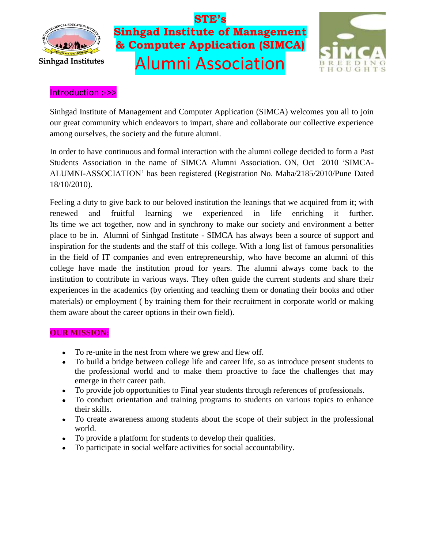



#### Introduction :->>

Sinhgad Institute of Management and Computer Application (SIMCA) welcomes you all to join our great community which endeavors to impart, share and collaborate our collective experience among ourselves, the society and the future alumni.

In order to have continuous and formal interaction with the alumni college decided to form a Past Students Association in the name of SIMCA Alumni Association. ON, Oct 2010 'SIMCA-ALUMNI-ASSOCIATION' has been registered (Registration No. Maha/2185/2010/Pune Dated 18/10/2010).

Feeling a duty to give back to our beloved institution the leanings that we acquired from it; with renewed and fruitful learning we experienced in life enriching it further. Its time we act together, now and in synchrony to make our society and environment a better place to be in. Alumni of Sinhgad Institute - SIMCA has always been a source of support and inspiration for the students and the staff of this college. With a long list of famous personalities in the field of IT companies and even entrepreneurship, who have become an alumni of this college have made the institution proud for years. The alumni always come back to the institution to contribute in various ways. They often guide the current students and share their experiences in the academics (by orienting and teaching them or donating their books and other materials) or employment ( by training them for their recruitment in corporate world or making them aware about the career options in their own field).

#### **OUR MISSION:**

- To re-unite in the nest from where we grew and flew off.
- To build a bridge between college life and career life, so as introduce present students to the professional world and to make them proactive to face the challenges that may emerge in their career path.
- To provide job opportunities to Final year students through references of professionals.
- To conduct orientation and training programs to students on various topics to enhance  $\bullet$ their skills.
- To create awareness among students about the scope of their subject in the professional world.
- To provide a platform for students to develop their qualities.
- To participate in social welfare activities for social accountability.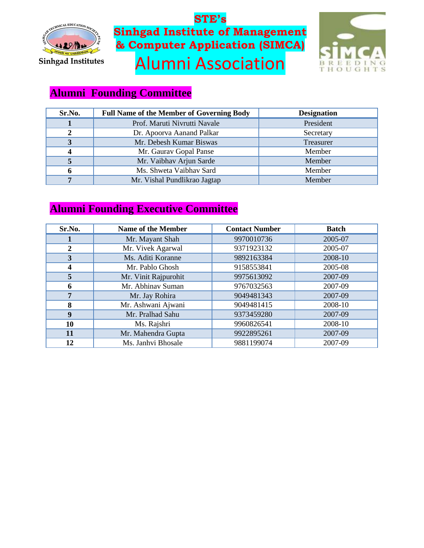



### **Alumni Founding Committee**

| Sr.No. | <b>Full Name of the Member of Governing Body</b> | <b>Designation</b> |
|--------|--------------------------------------------------|--------------------|
|        | Prof. Maruti Nivrutti Navale                     | President          |
|        | Dr. Apoorva Aanand Palkar                        | Secretary          |
| 3      | Mr. Debesh Kumar Biswas                          | Treasurer          |
|        | Mr. Gaurav Gopal Panse                           | Member             |
|        | Mr. Vaibhav Arjun Sarde                          | Member             |
| o      | Ms. Shweta Vaibhav Sard                          | Member             |
|        | Mr. Vishal Pundlikrao Jagtap                     | Member             |

### **Alumni Founding Executive Committee**

| Sr.No. | Name of the Member   | <b>Contact Number</b> | <b>Batch</b> |
|--------|----------------------|-----------------------|--------------|
|        | Mr. Mayant Shah      | 9970010736            | 2005-07      |
|        | Mr. Vivek Agarwal    | 9371923132            | 2005-07      |
| 3      | Ms. Aditi Koranne    | 9892163384            | 2008-10      |
| 4      | Mr. Pablo Ghosh      | 9158553841            | 2005-08      |
| 5      | Mr. Vinit Rajpurohit | 9975613092            | 2007-09      |
| 6      | Mr. Abhinav Suman    | 9767032563            | 2007-09      |
| 7      | Mr. Jay Rohira       | 9049481343            | 2007-09      |
| 8      | Mr. Ashwani Ajwani   | 9049481415            | 2008-10      |
| 9      | Mr. Pralhad Sahu     | 9373459280            | 2007-09      |
| 10     | Ms. Rajshri          | 9960826541            | 2008-10      |
| 11     | Mr. Mahendra Gupta   | 9922895261            | 2007-09      |
| 12     | Ms. Janhvi Bhosale   | 9881199074            | 2007-09      |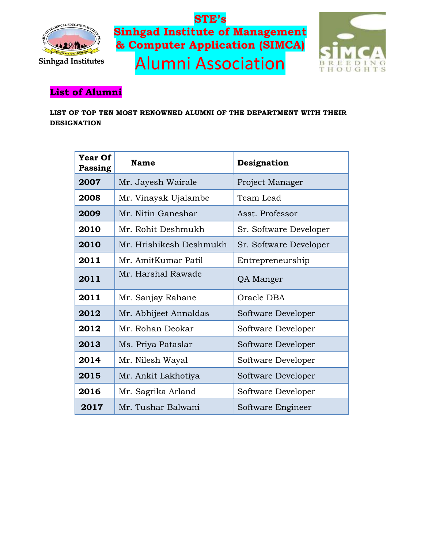



### **List of Alumni**

**LIST OF TOP TEN MOST RENOWNED ALUMNI OF THE DEPARTMENT WITH THEIR DESIGNATION**

| <b>Year Of</b><br>Passing | <b>Name</b>             | Designation            |
|---------------------------|-------------------------|------------------------|
| 2007                      | Mr. Jayesh Wairale      | Project Manager        |
| 2008                      | Mr. Vinayak Ujalambe    | Team Lead              |
| 2009                      | Mr. Nitin Ganeshar      | Asst. Professor        |
| 2010                      | Mr. Rohit Deshmukh      | Sr. Software Developer |
| 2010                      | Mr. Hrishikesh Deshmukh | Sr. Software Developer |
| 2011                      | Mr. AmitKumar Patil     | Entrepreneurship       |
| 2011                      | Mr. Harshal Rawade      | QA Manger              |
| 2011                      | Mr. Sanjay Rahane       | Oracle DBA             |
| 2012                      | Mr. Abhijeet Annaldas   | Software Developer     |
| 2012                      | Mr. Rohan Deokar        | Software Developer     |
| 2013                      | Ms. Priya Pataslar      | Software Developer     |
| 2014                      | Mr. Nilesh Wayal        | Software Developer     |
| 2015                      | Mr. Ankit Lakhotiya     | Software Developer     |
| 2016                      | Mr. Sagrika Arland      | Software Developer     |
| 2017                      | Mr. Tushar Balwani      | Software Engineer      |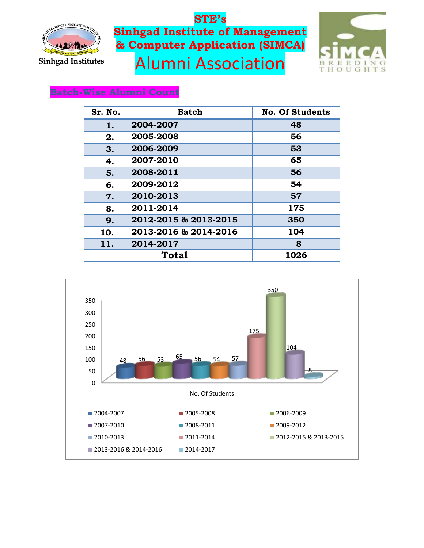



### **Batch-Wise Alumni Count**

| Sr. No.      | <b>Batch</b>          | <b>No. Of Students</b> |
|--------------|-----------------------|------------------------|
| 1.           | 2004-2007             | 48                     |
| 2.           | 2005-2008             | 56                     |
| 3.           | 2006-2009             | 53                     |
| 4.           | 2007-2010             | 65                     |
| 5.           | 2008-2011             | 56                     |
| 6.           | 2009-2012             | 54                     |
| 7.           | 2010-2013             | 57                     |
| 8.           | 2011-2014             | 175                    |
| 9.           | 2012-2015 & 2013-2015 | 350                    |
| 10.          | 2013-2016 & 2014-2016 | 104                    |
| 11.          | 2014-2017             | 8                      |
| <b>Total</b> |                       | 1026                   |

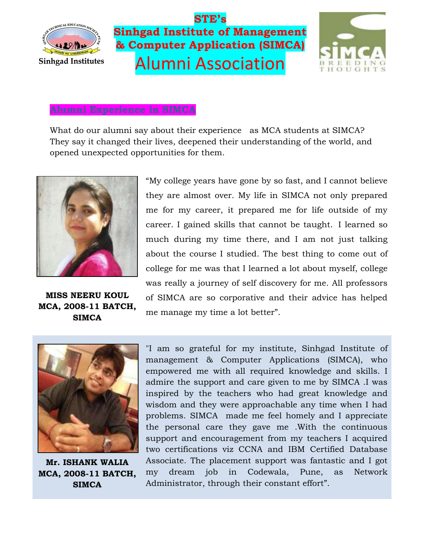



### **Alumni Experience in SIMCA**

What do our alumni say about their experience as MCA students at SIMCA? They say it changed their lives, deepened their understanding of the world, and opened unexpected opportunities for them.



**MISS NEERU KOUL MCA, 2008-11 BATCH, SIMCA**

"My college years have gone by so fast, and I cannot believe they are almost over. My life in SIMCA not only prepared me for my career, it prepared me for life outside of my career. I gained skills that cannot be taught. I learned so much during my time there, and I am not just talking about the course I studied. The best thing to come out of college for me was that I learned a lot about myself, college was really a journey of self discovery for me. All professors of SIMCA are so corporative and their advice has helped me manage my time a lot better".



**Mr. ISHANK WALIA MCA, 2008-11 BATCH, SIMCA**

"I am so grateful for my institute, Sinhgad Institute of management & Computer Applications (SIMCA), who empowered me with all required knowledge and skills. I admire the support and care given to me by SIMCA .I was inspired by the teachers who had great knowledge and wisdom and they were approachable any time when I had problems. SIMCA made me feel homely and I appreciate the personal care they gave me .With the continuous support and encouragement from my teachers I acquired two certifications viz CCNA and IBM Certified Database Associate. The placement support was fantastic and I got my dream job in Codewala, Pune, as Network Administrator, through their constant effort".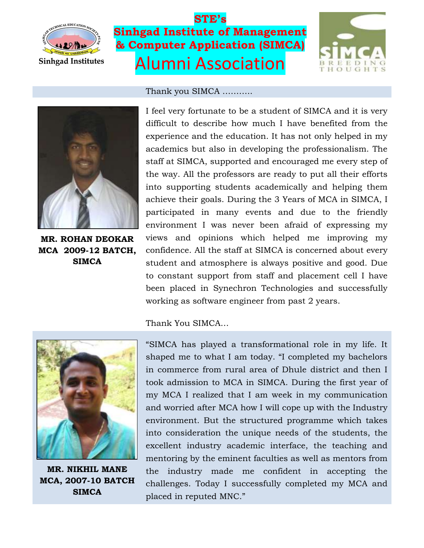





**MR. ROHAN DEOKAR MCA 2009-12 BATCH, SIMCA**



Thank You SIMCA…



**MR. NIKHIL MANE MCA, 2007-10 BATCH SIMCA**

"SIMCA has played a transformational role in my life. It shaped me to what I am today. "I completed my bachelors in commerce from rural area of Dhule district and then I took admission to MCA in SIMCA. During the first year of my MCA I realized that I am week in my communication and worried after MCA how I will cope up with the Industry environment. But the structured programme which takes into consideration the unique needs of the students, the excellent industry academic interface, the teaching and mentoring by the eminent faculties as well as mentors from the industry made me confident in accepting the challenges. Today I successfully completed my MCA and placed in reputed MNC."

#### Thank you SIMCA ………..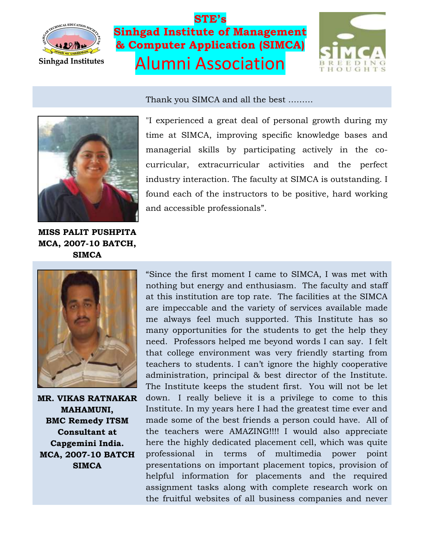

Thank you SIMCA and all the best ………





"I experienced a great deal of personal growth during my time at SIMCA, improving specific knowledge bases and managerial skills by participating actively in the cocurricular, extracurricular activities and the perfect industry interaction. The faculty at SIMCA is outstanding. I found each of the instructors to be positive, hard working and accessible professionals".

**MISS PALIT PUSHPITA MCA, 2007-10 BATCH, SIMCA**



**MR. VIKAS RATNAKAR MAHAMUNI, BMC Remedy ITSM Consultant at Capgemini India. MCA, 2007-10 BATCH SIMCA**

"Since the first moment I came to SIMCA, I was met with nothing but energy and enthusiasm. The faculty and staff at this institution are top rate. The facilities at the SIMCA are impeccable and the variety of services available made me always feel much supported. This Institute has so many opportunities for the students to get the help they need. Professors helped me beyond words I can say. I felt that college environment was very friendly starting from teachers to students. I can't ignore the highly cooperative administration, principal & best director of the Institute. The Institute keeps the student first. You will not be let down. I really believe it is a privilege to come to this Institute. In my years here I had the greatest time ever and made some of the best friends a person could have. All of the teachers were AMAZING!!!! I would also appreciate here the highly dedicated placement cell, which was quite professional in terms of multimedia power point presentations on important placement topics, provision of helpful information for placements and the required assignment tasks along with complete research work on the fruitful websites of all business companies and never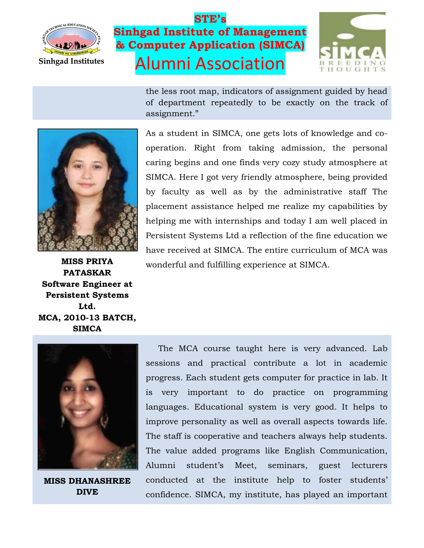



the less root map, indicators of assignment guided by head of department repeatedly to be exactly on the track of assignment."



**MISS PRIYA PATASKAR Software Engineer at Persistent Systems Ltd. MCA, 2010-13 BATCH, SIMCA**

As a student in SIMCA, one gets lots of knowledge and cooperation. Right from taking admission, the personal caring begins and one finds very cozy study atmosphere at SIMCA. Here I got very friendly atmosphere, being provided by faculty as well as by the administrative staff The placement assistance helped me realize my capabilities by helping me with internships and today I am well placed in Persistent Systems Ltd a reflection of the fine education we have received at SIMCA. The entire curriculum of MCA was wonderful and fulfilling experience at SIMCA.



**MISS DHANASHREE DIVE**

The MCA course taught here is very advanced. Lab sessions and practical contribute a lot in academic progress. Each student gets computer for practice in lab. It is very important to do practice on programming languages. Educational system is very good. It helps to improve personality as well as overall aspects towards life. The staff is cooperative and teachers always help students. The value added programs like English Communication, Alumni student's Meet, seminars, guest lecturers conducted at the institute help to foster students' confidence. SIMCA, my institute, has played an important